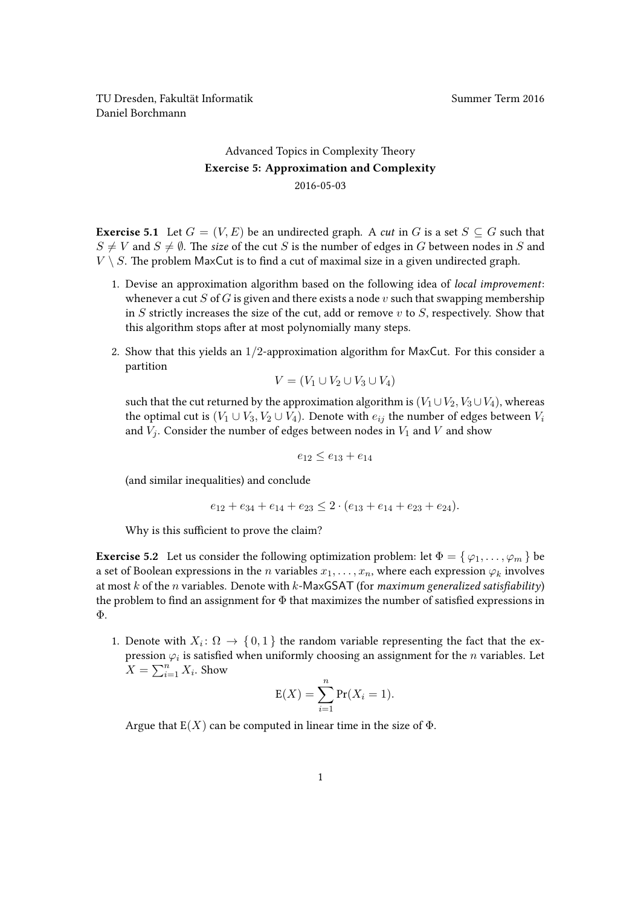TU Dresden, Fakultät Informatik Summer Term 2016 Daniel Borchmann

## [Advanced Topics in Complexity Theory](https://ddll.inf.tu-dresden.de/web/Advanced_Topics_in_Complexity_Theory_(SS2016)) Exercise 5: Approximation and Complexity 2016-05-03

**Exercise 5.1** Let  $G = (V, E)$  be an undirected graph. A cut in G is a set  $S \subseteq G$  such that  $S \neq V$  and  $S \neq \emptyset$ . The size of the cut S is the number of edges in G between nodes in S and  $V \setminus S$ . The problem MaxCut is to find a cut of maximal size in a given undirected graph.

- 1. Devise an approximation algorithm based on the following idea of local improvement: whenever a cut S of G is given and there exists a node v such that swapping membership in S strictly increases the size of the cut, add or remove  $v$  to  $S$ , respectively. Show that this algorithm stops after at most polynomially many steps.
- 2. Show that this yields an 1/2-approximation algorithm for MaxCut. For this consider a partition

$$
V = (V_1 \cup V_2 \cup V_3 \cup V_4)
$$

such that the cut returned by the approximation algorithm is  $(V_1 \cup V_2, V_3 \cup V_4)$ , whereas the optimal cut is  $(V_1 \cup V_3, V_2 \cup V_4)$ . Denote with  $e_{ij}$  the number of edges between  $V_i$ and  $V_i$ . Consider the number of edges between nodes in  $V_1$  and V and show

 $e_{12} < e_{13} + e_{14}$ 

(and similar inequalities) and conclude

$$
e_{12} + e_{34} + e_{14} + e_{23} \leq 2 \cdot (e_{13} + e_{14} + e_{23} + e_{24}).
$$

Why is this sufficient to prove the claim?

**Exercise 5.2** Let us consider the following optimization problem: let  $\Phi = \{ \varphi_1, \ldots, \varphi_m \}$  be a set of Boolean expressions in the *n* variables  $x_1, \ldots, x_n$ , where each expression  $\varphi_k$  involves at most k of the n variables. Denote with k-MaxGSAT (for maximum generalized satisfiability) the problem to find an assignment for  $\Phi$  that maximizes the number of satisfied expressions in Φ.

1. Denote with  $X_i: \Omega \to \{0,1\}$  the random variable representing the fact that the expression  $\varphi_i$  is satisfied when uniformly choosing an assignment for the  $n$  variables. Let  $X = \sum_{i=1}^{n} X_i$ . Show

$$
E(X) = \sum_{i=1}^{n} Pr(X_i = 1).
$$

Argue that  $E(X)$  can be computed in linear time in the size of  $\Phi$ .